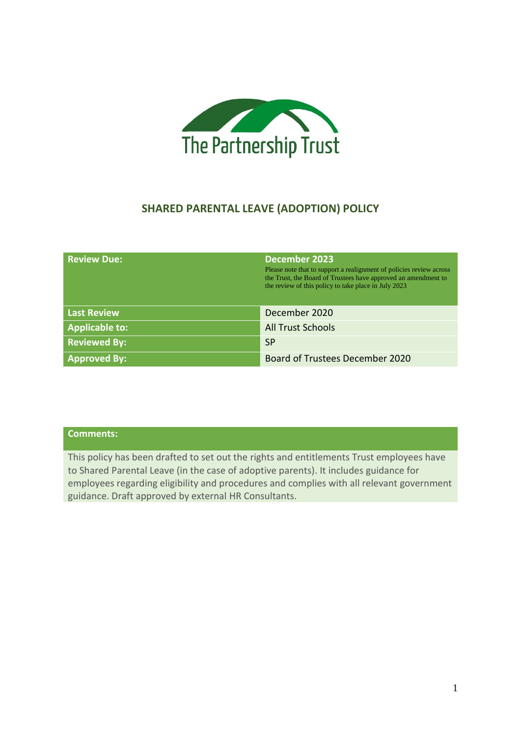

# **SHARED PARENTAL LEAVE (ADOPTION) POLICY**

| <b>Review Due:</b>    | <b>December 2023</b><br>Please note that to support a realignment of policies review across<br>the Trust, the Board of Trustees have approved an amendment to<br>the review of this policy to take place in July 2023 |
|-----------------------|-----------------------------------------------------------------------------------------------------------------------------------------------------------------------------------------------------------------------|
| <b>Last Review</b>    | December 2020                                                                                                                                                                                                         |
| <b>Applicable to:</b> | <b>All Trust Schools</b>                                                                                                                                                                                              |
| <b>Reviewed By:</b>   | <b>SP</b>                                                                                                                                                                                                             |
| <b>Approved By:</b>   | <b>Board of Trustees December 2020</b>                                                                                                                                                                                |

# **Comments:**

This policy has been drafted to set out the rights and entitlements Trust employees have to Shared Parental Leave (in the case of adoptive parents). It includes guidance for employees regarding eligibility and procedures and complies with all relevant government guidance. Draft approved by external HR Consultants.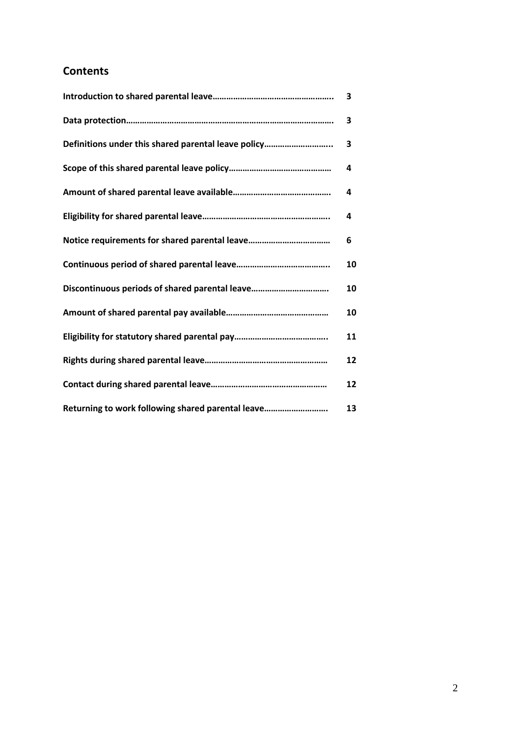# **Contents**

|                                                     | 3  |
|-----------------------------------------------------|----|
|                                                     | 3  |
| Definitions under this shared parental leave policy | 3  |
|                                                     | 4  |
|                                                     | 4  |
|                                                     | 4  |
|                                                     | 6  |
|                                                     | 10 |
| Discontinuous periods of shared parental leave      | 10 |
|                                                     | 10 |
|                                                     | 11 |
|                                                     | 12 |
|                                                     | 12 |
| Returning to work following shared parental leave   | 13 |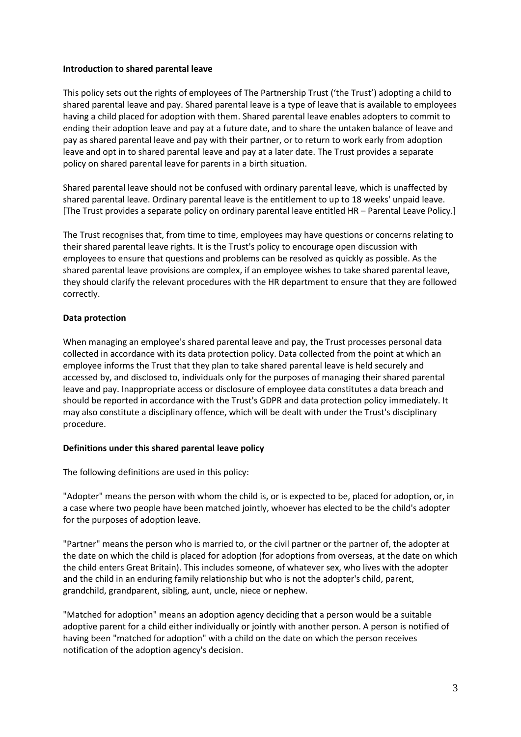#### **Introduction to shared parental leave**

This policy sets out the rights of employees of The Partnership Trust ('the Trust') adopting a child to shared parental leave and pay. Shared parental leave is a type of leave that is available to employees having a child placed for adoption with them. Shared parental leave enables adopters to commit to ending their adoption leave and pay at a future date, and to share the untaken balance of leave and pay as shared parental leave and pay with their partner, or to return to work early from adoption leave and opt in to shared parental leave and pay at a later date. The Trust provides a separate policy on shared parental leave for parents in a birth situation.

Shared parental leave should not be confused with ordinary parental leave, which is unaffected by shared parental leave. Ordinary parental leave is the entitlement to up to 18 weeks' unpaid leave. [The Trust provides a separate policy on ordinary parental leave entitled HR – Parental Leave Policy.]

The Trust recognises that, from time to time, employees may have questions or concerns relating to their shared parental leave rights. It is the Trust's policy to encourage open discussion with employees to ensure that questions and problems can be resolved as quickly as possible. As the shared parental leave provisions are complex, if an employee wishes to take shared parental leave, they should clarify the relevant procedures with the HR department to ensure that they are followed correctly.

### **Data protection**

When managing an employee's shared parental leave and pay, the Trust processes personal data collected in accordance with its data protection policy. Data collected from the point at which an employee informs the Trust that they plan to take shared parental leave is held securely and accessed by, and disclosed to, individuals only for the purposes of managing their shared parental leave and pay. Inappropriate access or disclosure of employee data constitutes a data breach and should be reported in accordance with the Trust's GDPR and data protection policy immediately. It may also constitute a disciplinary offence, which will be dealt with under the Trust's disciplinary procedure.

# **Definitions under this shared parental leave policy**

The following definitions are used in this policy:

"Adopter" means the person with whom the child is, or is expected to be, placed for adoption, or, in a case where two people have been matched jointly, whoever has elected to be the child's adopter for the purposes of adoption leave.

"Partner" means the person who is married to, or the civil partner or the partner of, the adopter at the date on which the child is placed for adoption (for adoptions from overseas, at the date on which the child enters Great Britain). This includes someone, of whatever sex, who lives with the adopter and the child in an enduring family relationship but who is not the adopter's child, parent, grandchild, grandparent, sibling, aunt, uncle, niece or nephew.

"Matched for adoption" means an adoption agency deciding that a person would be a suitable adoptive parent for a child either individually or jointly with another person. A person is notified of having been "matched for adoption" with a child on the date on which the person receives notification of the adoption agency's decision.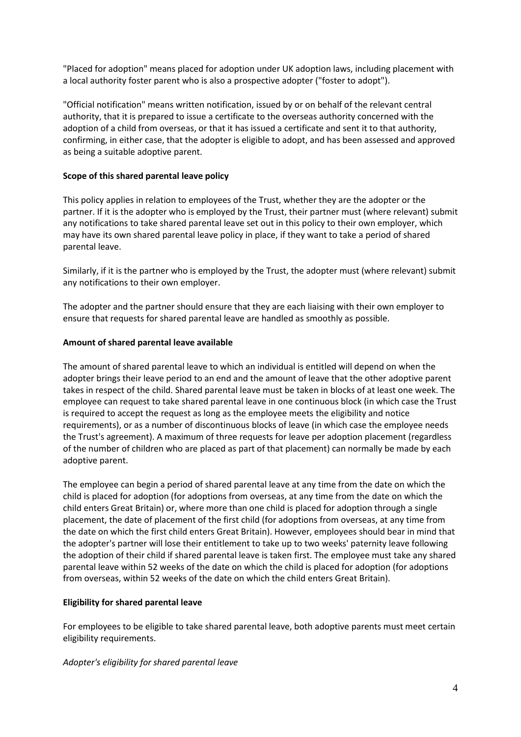"Placed for adoption" means placed for adoption under UK adoption laws, including placement with a local authority foster parent who is also a prospective adopter ("foster to adopt").

"Official notification" means written notification, issued by or on behalf of the relevant central authority, that it is prepared to issue a certificate to the overseas authority concerned with the adoption of a child from overseas, or that it has issued a certificate and sent it to that authority, confirming, in either case, that the adopter is eligible to adopt, and has been assessed and approved as being a suitable adoptive parent.

### **Scope of this shared parental leave policy**

This policy applies in relation to employees of the Trust, whether they are the adopter or the partner. If it is the adopter who is employed by the Trust, their partner must (where relevant) submit any notifications to take shared parental leave set out in this policy to their own employer, which may have its own shared parental leave policy in place, if they want to take a period of shared parental leave.

Similarly, if it is the partner who is employed by the Trust, the adopter must (where relevant) submit any notifications to their own employer.

The adopter and the partner should ensure that they are each liaising with their own employer to ensure that requests for shared parental leave are handled as smoothly as possible.

### **Amount of shared parental leave available**

The amount of shared parental leave to which an individual is entitled will depend on when the adopter brings their leave period to an end and the amount of leave that the other adoptive parent takes in respect of the child. Shared parental leave must be taken in blocks of at least one week. The employee can request to take shared parental leave in one continuous block (in which case the Trust is required to accept the request as long as the employee meets the eligibility and notice requirements), or as a number of discontinuous blocks of leave (in which case the employee needs the Trust's agreement). A maximum of three requests for leave per adoption placement (regardless of the number of children who are placed as part of that placement) can normally be made by each adoptive parent.

The employee can begin a period of shared parental leave at any time from the date on which the child is placed for adoption (for adoptions from overseas, at any time from the date on which the child enters Great Britain) or, where more than one child is placed for adoption through a single placement, the date of placement of the first child (for adoptions from overseas, at any time from the date on which the first child enters Great Britain). However, employees should bear in mind that the adopter's partner will lose their entitlement to take up to two weeks' paternity leave following the adoption of their child if shared parental leave is taken first. The employee must take any shared parental leave within 52 weeks of the date on which the child is placed for adoption (for adoptions from overseas, within 52 weeks of the date on which the child enters Great Britain).

#### **Eligibility for shared parental leave**

For employees to be eligible to take shared parental leave, both adoptive parents must meet certain eligibility requirements.

#### *Adopter's eligibility for shared parental leave*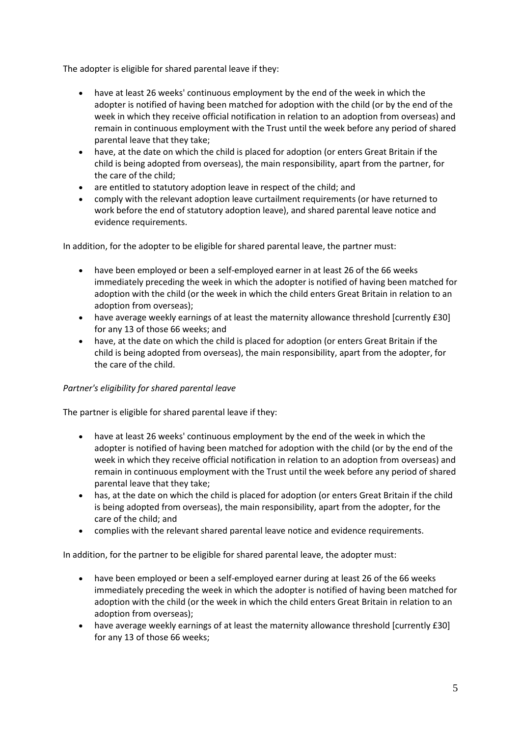The adopter is eligible for shared parental leave if they:

- have at least 26 weeks' continuous employment by the end of the week in which the adopter is notified of having been matched for adoption with the child (or by the end of the week in which they receive official notification in relation to an adoption from overseas) and remain in continuous employment with the Trust until the week before any period of shared parental leave that they take;
- have, at the date on which the child is placed for adoption (or enters Great Britain if the child is being adopted from overseas), the main responsibility, apart from the partner, for the care of the child;
- are entitled to statutory adoption leave in respect of the child; and
- comply with the relevant adoption leave curtailment requirements (or have returned to work before the end of statutory adoption leave), and shared parental leave notice and evidence requirements.

In addition, for the adopter to be eligible for shared parental leave, the partner must:

- have been employed or been a self-employed earner in at least 26 of the 66 weeks immediately preceding the week in which the adopter is notified of having been matched for adoption with the child (or the week in which the child enters Great Britain in relation to an adoption from overseas);
- have average weekly earnings of at least the maternity allowance threshold [currently £30] for any 13 of those 66 weeks; and
- have, at the date on which the child is placed for adoption (or enters Great Britain if the child is being adopted from overseas), the main responsibility, apart from the adopter, for the care of the child.

# *Partner's eligibility for shared parental leave*

The partner is eligible for shared parental leave if they:

- have at least 26 weeks' continuous employment by the end of the week in which the adopter is notified of having been matched for adoption with the child (or by the end of the week in which they receive official notification in relation to an adoption from overseas) and remain in continuous employment with the Trust until the week before any period of shared parental leave that they take;
- has, at the date on which the child is placed for adoption (or enters Great Britain if the child is being adopted from overseas), the main responsibility, apart from the adopter, for the care of the child; and
- complies with the relevant shared parental leave notice and evidence requirements.

In addition, for the partner to be eligible for shared parental leave, the adopter must:

- have been employed or been a self-employed earner during at least 26 of the 66 weeks immediately preceding the week in which the adopter is notified of having been matched for adoption with the child (or the week in which the child enters Great Britain in relation to an adoption from overseas);
- have average weekly earnings of at least the maternity allowance threshold [currently £30] for any 13 of those 66 weeks;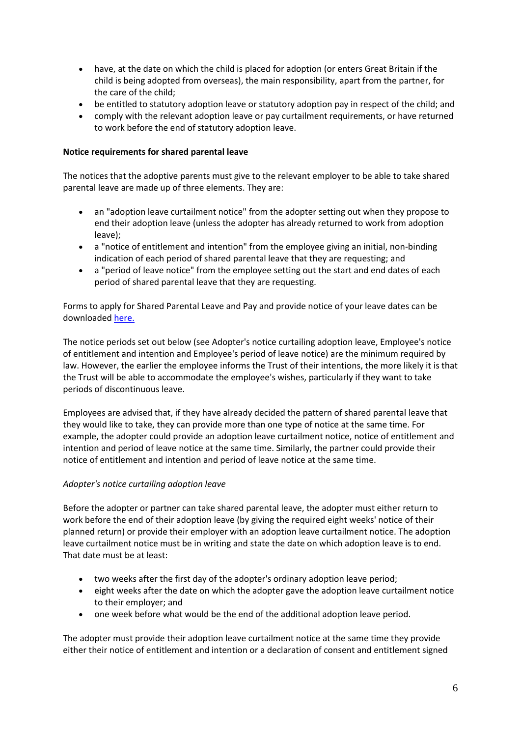- have, at the date on which the child is placed for adoption (or enters Great Britain if the child is being adopted from overseas), the main responsibility, apart from the partner, for the care of the child;
- be entitled to statutory adoption leave or statutory adoption pay in respect of the child; and
- comply with the relevant adoption leave or pay curtailment requirements, or have returned to work before the end of statutory adoption leave.

## **Notice requirements for shared parental leave**

The notices that the adoptive parents must give to the relevant employer to be able to take shared parental leave are made up of three elements. They are:

- an "adoption leave curtailment notice" from the adopter setting out when they propose to end their adoption leave (unless the adopter has already returned to work from adoption leave);
- a "notice of entitlement and intention" from the employee giving an initial, non-binding indication of each period of shared parental leave that they are requesting; and
- a "period of leave notice" from the employee setting out the start and end dates of each period of shared parental leave that they are requesting.

Forms to apply for Shared Parental Leave and Pay and provide notice of your leave dates can be downloaded [here.](https://www.gov.uk/shared-parental-leave-and-pay/applying-for-leave-and-pay)

The notice periods set out below (see Adopter's notice curtailing adoption leave, Employee's notice of entitlement and intention and Employee's period of leave notice) are the minimum required by law. However, the earlier the employee informs the Trust of their intentions, the more likely it is that the Trust will be able to accommodate the employee's wishes, particularly if they want to take periods of discontinuous leave.

Employees are advised that, if they have already decided the pattern of shared parental leave that they would like to take, they can provide more than one type of notice at the same time. For example, the adopter could provide an adoption leave curtailment notice, notice of entitlement and intention and period of leave notice at the same time. Similarly, the partner could provide their notice of entitlement and intention and period of leave notice at the same time.

#### *Adopter's notice curtailing adoption leave*

Before the adopter or partner can take shared parental leave, the adopter must either return to work before the end of their adoption leave (by giving the required eight weeks' notice of their planned return) or provide their employer with an adoption leave curtailment notice. The adoption leave curtailment notice must be in writing and state the date on which adoption leave is to end. That date must be at least:

- two weeks after the first day of the adopter's ordinary adoption leave period;
- eight weeks after the date on which the adopter gave the adoption leave curtailment notice to their employer; and
- one week before what would be the end of the additional adoption leave period.

The adopter must provide their adoption leave curtailment notice at the same time they provide either their notice of entitlement and intention or a declaration of consent and entitlement signed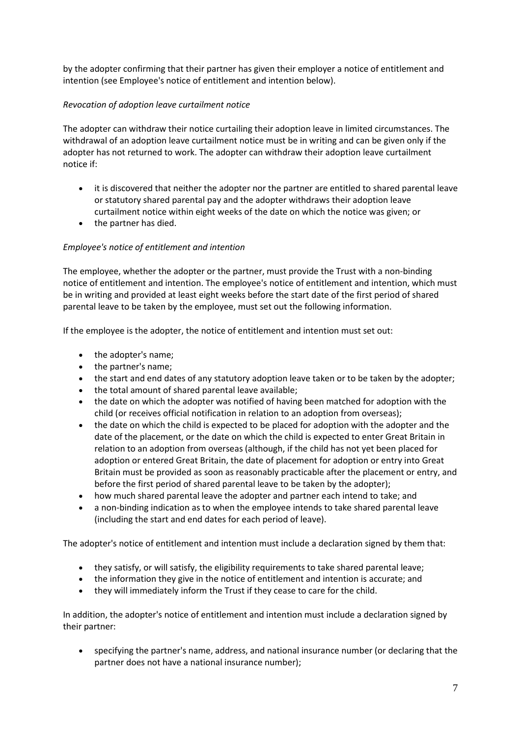by the adopter confirming that their partner has given their employer a notice of entitlement and intention (see Employee's notice of entitlement and intention below).

# *Revocation of adoption leave curtailment notice*

The adopter can withdraw their notice curtailing their adoption leave in limited circumstances. The withdrawal of an adoption leave curtailment notice must be in writing and can be given only if the adopter has not returned to work. The adopter can withdraw their adoption leave curtailment notice if:

- it is discovered that neither the adopter nor the partner are entitled to shared parental leave or statutory shared parental pay and the adopter withdraws their adoption leave curtailment notice within eight weeks of the date on which the notice was given; or
- the partner has died.

# *Employee's notice of entitlement and intention*

The employee, whether the adopter or the partner, must provide the Trust with a non-binding notice of entitlement and intention. The employee's notice of entitlement and intention, which must be in writing and provided at least eight weeks before the start date of the first period of shared parental leave to be taken by the employee, must set out the following information.

If the employee is the adopter, the notice of entitlement and intention must set out:

- the adopter's name;
- the partner's name;
- the start and end dates of any statutory adoption leave taken or to be taken by the adopter;
- the total amount of shared parental leave available;
- the date on which the adopter was notified of having been matched for adoption with the child (or receives official notification in relation to an adoption from overseas);
- the date on which the child is expected to be placed for adoption with the adopter and the date of the placement, or the date on which the child is expected to enter Great Britain in relation to an adoption from overseas (although, if the child has not yet been placed for adoption or entered Great Britain, the date of placement for adoption or entry into Great Britain must be provided as soon as reasonably practicable after the placement or entry, and before the first period of shared parental leave to be taken by the adopter);
- how much shared parental leave the adopter and partner each intend to take; and
- a non-binding indication as to when the employee intends to take shared parental leave (including the start and end dates for each period of leave).

The adopter's notice of entitlement and intention must include a declaration signed by them that:

- they satisfy, or will satisfy, the eligibility requirements to take shared parental leave;
- the information they give in the notice of entitlement and intention is accurate; and
- they will immediately inform the Trust if they cease to care for the child.

In addition, the adopter's notice of entitlement and intention must include a declaration signed by their partner:

• specifying the partner's name, address, and national insurance number (or declaring that the partner does not have a national insurance number);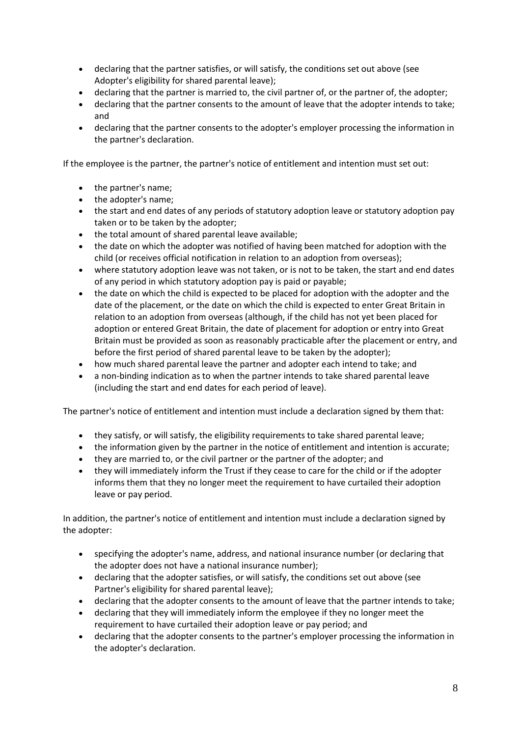- declaring that the partner satisfies, or will satisfy, the conditions set out above (see Adopter's eligibility for shared parental leave);
- declaring that the partner is married to, the civil partner of, or the partner of, the adopter;
- declaring that the partner consents to the amount of leave that the adopter intends to take; and
- declaring that the partner consents to the adopter's employer processing the information in the partner's declaration.

If the employee is the partner, the partner's notice of entitlement and intention must set out:

- the partner's name;
- the adopter's name;
- the start and end dates of any periods of statutory adoption leave or statutory adoption pay taken or to be taken by the adopter;
- the total amount of shared parental leave available;
- the date on which the adopter was notified of having been matched for adoption with the child (or receives official notification in relation to an adoption from overseas);
- where statutory adoption leave was not taken, or is not to be taken, the start and end dates of any period in which statutory adoption pay is paid or payable;
- the date on which the child is expected to be placed for adoption with the adopter and the date of the placement, or the date on which the child is expected to enter Great Britain in relation to an adoption from overseas (although, if the child has not yet been placed for adoption or entered Great Britain, the date of placement for adoption or entry into Great Britain must be provided as soon as reasonably practicable after the placement or entry, and before the first period of shared parental leave to be taken by the adopter);
- how much shared parental leave the partner and adopter each intend to take; and
- a non-binding indication as to when the partner intends to take shared parental leave (including the start and end dates for each period of leave).

The partner's notice of entitlement and intention must include a declaration signed by them that:

- they satisfy, or will satisfy, the eligibility requirements to take shared parental leave;
- the information given by the partner in the notice of entitlement and intention is accurate;
- they are married to, or the civil partner or the partner of the adopter; and
- they will immediately inform the Trust if they cease to care for the child or if the adopter informs them that they no longer meet the requirement to have curtailed their adoption leave or pay period.

In addition, the partner's notice of entitlement and intention must include a declaration signed by the adopter:

- specifying the adopter's name, address, and national insurance number (or declaring that the adopter does not have a national insurance number);
- declaring that the adopter satisfies, or will satisfy, the conditions set out above (see Partner's eligibility for shared parental leave);
- declaring that the adopter consents to the amount of leave that the partner intends to take;
- declaring that they will immediately inform the employee if they no longer meet the requirement to have curtailed their adoption leave or pay period; and
- declaring that the adopter consents to the partner's employer processing the information in the adopter's declaration.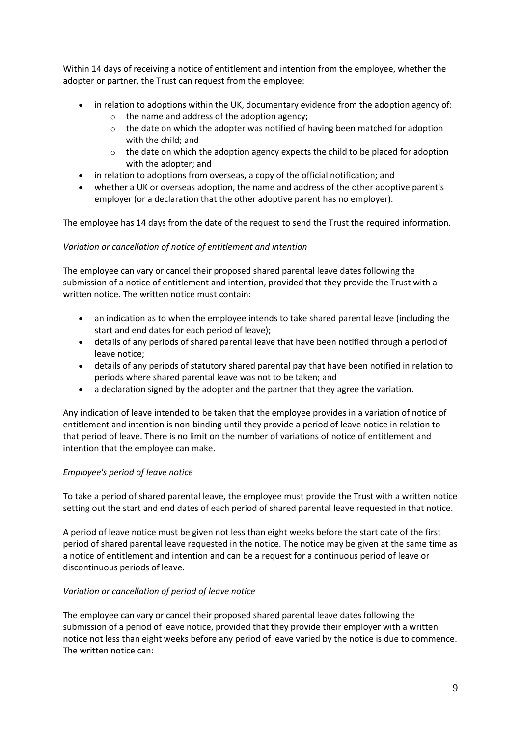Within 14 days of receiving a notice of entitlement and intention from the employee, whether the adopter or partner, the Trust can request from the employee:

- in relation to adoptions within the UK, documentary evidence from the adoption agency of:
	- o the name and address of the adoption agency;
	- $\circ$  the date on which the adopter was notified of having been matched for adoption with the child; and
	- $\circ$  the date on which the adoption agency expects the child to be placed for adoption with the adopter; and
- in relation to adoptions from overseas, a copy of the official notification; and
- whether a UK or overseas adoption, the name and address of the other adoptive parent's employer (or a declaration that the other adoptive parent has no employer).

The employee has 14 days from the date of the request to send the Trust the required information.

# *Variation or cancellation of notice of entitlement and intention*

The employee can vary or cancel their proposed shared parental leave dates following the submission of a notice of entitlement and intention, provided that they provide the Trust with a written notice. The written notice must contain:

- an indication as to when the employee intends to take shared parental leave (including the start and end dates for each period of leave);
- details of any periods of shared parental leave that have been notified through a period of leave notice;
- details of any periods of statutory shared parental pay that have been notified in relation to periods where shared parental leave was not to be taken; and
- a declaration signed by the adopter and the partner that they agree the variation.

Any indication of leave intended to be taken that the employee provides in a variation of notice of entitlement and intention is non-binding until they provide a period of leave notice in relation to that period of leave. There is no limit on the number of variations of notice of entitlement and intention that the employee can make.

# *Employee's period of leave notice*

To take a period of shared parental leave, the employee must provide the Trust with a written notice setting out the start and end dates of each period of shared parental leave requested in that notice.

A period of leave notice must be given not less than eight weeks before the start date of the first period of shared parental leave requested in the notice. The notice may be given at the same time as a notice of entitlement and intention and can be a request for a continuous period of leave or discontinuous periods of leave.

# *Variation or cancellation of period of leave notice*

The employee can vary or cancel their proposed shared parental leave dates following the submission of a period of leave notice, provided that they provide their employer with a written notice not less than eight weeks before any period of leave varied by the notice is due to commence. The written notice can: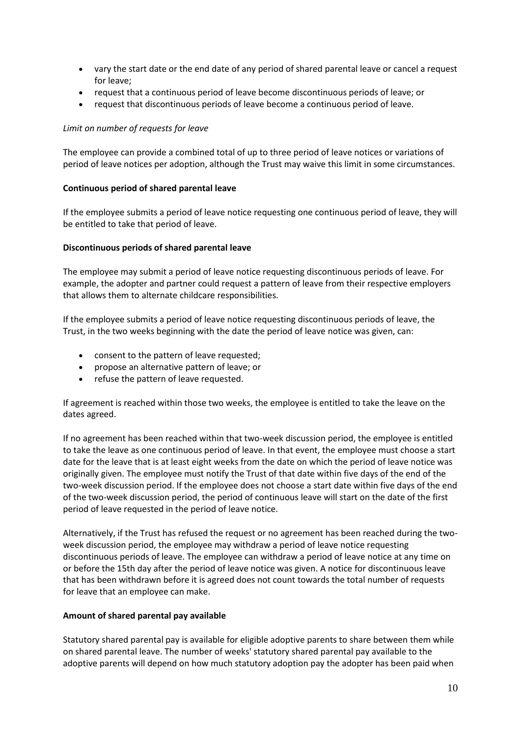- vary the start date or the end date of any period of shared parental leave or cancel a request for leave;
- request that a continuous period of leave become discontinuous periods of leave; or
- request that discontinuous periods of leave become a continuous period of leave.

#### *Limit on number of requests for leave*

The employee can provide a combined total of up to three period of leave notices or variations of period of leave notices per adoption, although the Trust may waive this limit in some circumstances.

#### **Continuous period of shared parental leave**

If the employee submits a period of leave notice requesting one continuous period of leave, they will be entitled to take that period of leave.

#### **Discontinuous periods of shared parental leave**

The employee may submit a period of leave notice requesting discontinuous periods of leave. For example, the adopter and partner could request a pattern of leave from their respective employers that allows them to alternate childcare responsibilities.

If the employee submits a period of leave notice requesting discontinuous periods of leave, the Trust, in the two weeks beginning with the date the period of leave notice was given, can:

- consent to the pattern of leave requested;
- propose an alternative pattern of leave; or
- refuse the pattern of leave requested.

If agreement is reached within those two weeks, the employee is entitled to take the leave on the dates agreed.

If no agreement has been reached within that two-week discussion period, the employee is entitled to take the leave as one continuous period of leave. In that event, the employee must choose a start date for the leave that is at least eight weeks from the date on which the period of leave notice was originally given. The employee must notify the Trust of that date within five days of the end of the two-week discussion period. If the employee does not choose a start date within five days of the end of the two-week discussion period, the period of continuous leave will start on the date of the first period of leave requested in the period of leave notice.

Alternatively, if the Trust has refused the request or no agreement has been reached during the twoweek discussion period, the employee may withdraw a period of leave notice requesting discontinuous periods of leave. The employee can withdraw a period of leave notice at any time on or before the 15th day after the period of leave notice was given. A notice for discontinuous leave that has been withdrawn before it is agreed does not count towards the total number of requests for leave that an employee can make.

#### **Amount of shared parental pay available**

Statutory shared parental pay is available for eligible adoptive parents to share between them while on shared parental leave. The number of weeks' statutory shared parental pay available to the adoptive parents will depend on how much statutory adoption pay the adopter has been paid when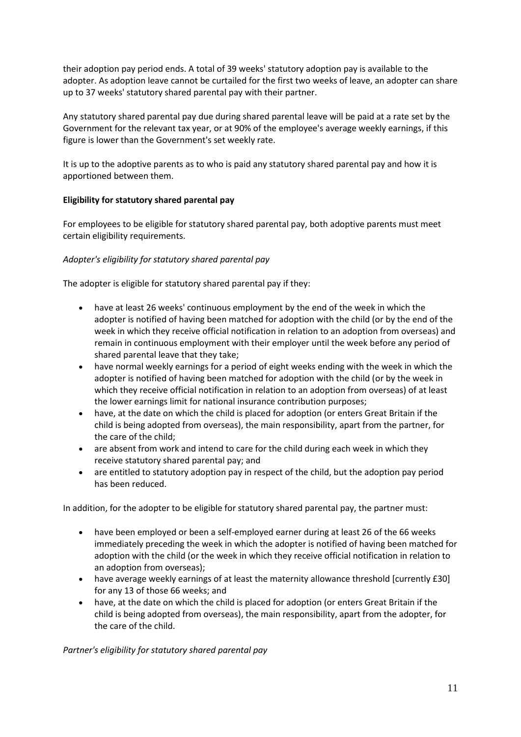their adoption pay period ends. A total of 39 weeks' statutory adoption pay is available to the adopter. As adoption leave cannot be curtailed for the first two weeks of leave, an adopter can share up to 37 weeks' statutory shared parental pay with their partner.

Any statutory shared parental pay due during shared parental leave will be paid at a rate set by the Government for the relevant tax year, or at 90% of the employee's average weekly earnings, if this figure is lower than the Government's set weekly rate.

It is up to the adoptive parents as to who is paid any statutory shared parental pay and how it is apportioned between them.

# **Eligibility for statutory shared parental pay**

For employees to be eligible for statutory shared parental pay, both adoptive parents must meet certain eligibility requirements.

# *Adopter's eligibility for statutory shared parental pay*

The adopter is eligible for statutory shared parental pay if they:

- have at least 26 weeks' continuous employment by the end of the week in which the adopter is notified of having been matched for adoption with the child (or by the end of the week in which they receive official notification in relation to an adoption from overseas) and remain in continuous employment with their employer until the week before any period of shared parental leave that they take;
- have normal weekly earnings for a period of eight weeks ending with the week in which the adopter is notified of having been matched for adoption with the child (or by the week in which they receive official notification in relation to an adoption from overseas) of at least the lower earnings limit for national insurance contribution purposes;
- have, at the date on which the child is placed for adoption (or enters Great Britain if the child is being adopted from overseas), the main responsibility, apart from the partner, for the care of the child;
- are absent from work and intend to care for the child during each week in which they receive statutory shared parental pay; and
- are entitled to statutory adoption pay in respect of the child, but the adoption pay period has been reduced.

In addition, for the adopter to be eligible for statutory shared parental pay, the partner must:

- have been employed or been a self-employed earner during at least 26 of the 66 weeks immediately preceding the week in which the adopter is notified of having been matched for adoption with the child (or the week in which they receive official notification in relation to an adoption from overseas);
- have average weekly earnings of at least the maternity allowance threshold [currently £30] for any 13 of those 66 weeks; and
- have, at the date on which the child is placed for adoption (or enters Great Britain if the child is being adopted from overseas), the main responsibility, apart from the adopter, for the care of the child.

*Partner's eligibility for statutory shared parental pay*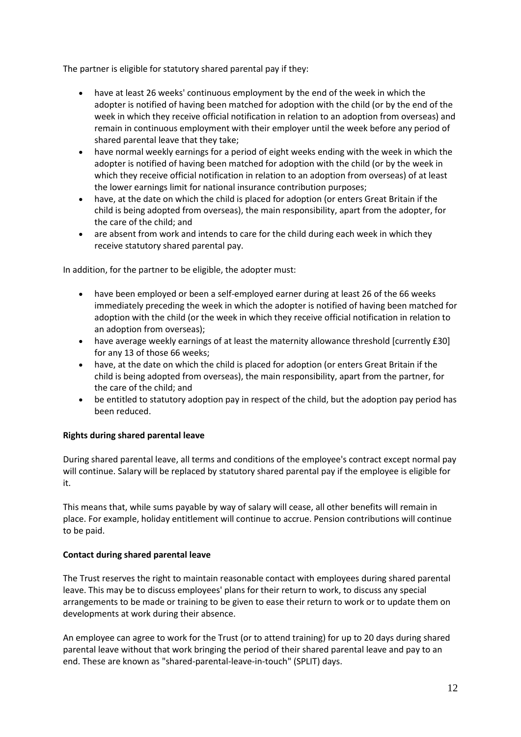The partner is eligible for statutory shared parental pay if they:

- have at least 26 weeks' continuous employment by the end of the week in which the adopter is notified of having been matched for adoption with the child (or by the end of the week in which they receive official notification in relation to an adoption from overseas) and remain in continuous employment with their employer until the week before any period of shared parental leave that they take;
- have normal weekly earnings for a period of eight weeks ending with the week in which the adopter is notified of having been matched for adoption with the child (or by the week in which they receive official notification in relation to an adoption from overseas) of at least the lower earnings limit for national insurance contribution purposes;
- have, at the date on which the child is placed for adoption (or enters Great Britain if the child is being adopted from overseas), the main responsibility, apart from the adopter, for the care of the child; and
- are absent from work and intends to care for the child during each week in which they receive statutory shared parental pay.

In addition, for the partner to be eligible, the adopter must:

- have been employed or been a self-employed earner during at least 26 of the 66 weeks immediately preceding the week in which the adopter is notified of having been matched for adoption with the child (or the week in which they receive official notification in relation to an adoption from overseas);
- have average weekly earnings of at least the maternity allowance threshold [currently £30] for any 13 of those 66 weeks;
- have, at the date on which the child is placed for adoption (or enters Great Britain if the child is being adopted from overseas), the main responsibility, apart from the partner, for the care of the child; and
- be entitled to statutory adoption pay in respect of the child, but the adoption pay period has been reduced.

# **Rights during shared parental leave**

During shared parental leave, all terms and conditions of the employee's contract except normal pay will continue. Salary will be replaced by statutory shared parental pay if the employee is eligible for it.

This means that, while sums payable by way of salary will cease, all other benefits will remain in place. For example, holiday entitlement will continue to accrue. Pension contributions will continue to be paid.

#### **Contact during shared parental leave**

The Trust reserves the right to maintain reasonable contact with employees during shared parental leave. This may be to discuss employees' plans for their return to work, to discuss any special arrangements to be made or training to be given to ease their return to work or to update them on developments at work during their absence.

An employee can agree to work for the Trust (or to attend training) for up to 20 days during shared parental leave without that work bringing the period of their shared parental leave and pay to an end. These are known as "shared-parental-leave-in-touch" (SPLIT) days.